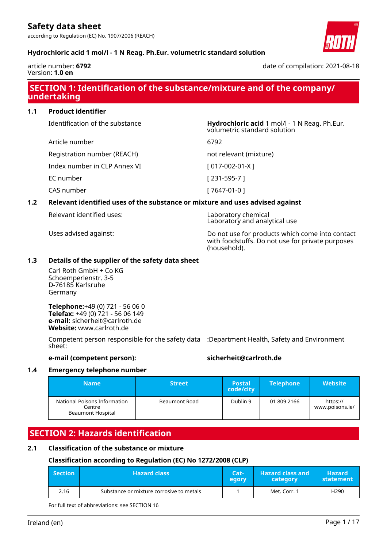according to Regulation (EC) No. 1907/2006 (REACH)



## **Hydrochloric acid 1 mol/l - 1 N Reag. Ph.Eur. volumetric standard solution**

article number: **6792** Version: **1.0 en**

date of compilation: 2021-08-18

## **SECTION 1: Identification of the substance/mixture and of the company/ undertaking**

**1.1 Product identifier**

Identification of the substance **Hydrochloric acid** 1 mol/l - 1 N Reag. Ph.Eur.

Registration number (REACH) not relevant (mixture)

Index number in CLP Annex VI [ 017-002-01-X ]

EC number [ 231-595-7 ]

CAS number [ 7647-01-0 ]

Article number 6792

## **1.2 Relevant identified uses of the substance or mixture and uses advised against**

Relevant identified uses: Laboratory chemical

Laboratory and analytical use Uses advised against: Do not use for products which come into contact

volumetric standard solution

with foodstuffs. Do not use for private purposes (household).

## **1.3 Details of the supplier of the safety data sheet**

Carl Roth GmbH + Co KG Schoemperlenstr. 3-5 D-76185 Karlsruhe Germany

**Telephone:**+49 (0) 721 - 56 06 0 **Telefax:** +49 (0) 721 - 56 06 149 **e-mail:** sicherheit@carlroth.de **Website:** www.carlroth.de

Competent person responsible for the safety data :Department Health, Safety and Environment sheet:

## **e-mail (competent person): sicherheit@carlroth.de**

## **1.4 Emergency telephone number**

| <b>Name</b>                                                 | <b>Street</b> | <b>Postal</b><br>code/city | <b>Telephone</b> | <b>Website</b>              |
|-------------------------------------------------------------|---------------|----------------------------|------------------|-----------------------------|
| National Poisons Information<br>Centre<br>Beaumont Hospital | Beaumont Road | Dublin 9                   | 01 809 2166      | https://<br>www.poisons.ie/ |

## **SECTION 2: Hazards identification**

## **2.1 Classification of the substance or mixture**

## **Classification according to Regulation (EC) No 1272/2008 (CLP)**

| <b>Section</b> | <b>Hazard class</b>                      | Cat-<br>egory | <b>Hazard class and</b><br>category | <b>Hazard</b><br>statement |
|----------------|------------------------------------------|---------------|-------------------------------------|----------------------------|
| 2.16           | Substance or mixture corrosive to metals |               | Met. Corr. 1                        | H <sub>290</sub>           |

For full text of abbreviations: see SECTION 16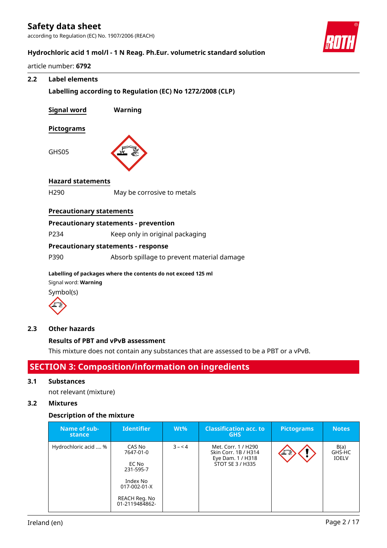according to Regulation (EC) No. 1907/2006 (REACH)



## **Hydrochloric acid 1 mol/l - 1 N Reag. Ph.Eur. volumetric standard solution**

article number: **6792**

## **2.2 Label elements**

**Labelling according to Regulation (EC) No 1272/2008 (CLP)**

| <b>Signal word</b>              | Warning                                      |
|---------------------------------|----------------------------------------------|
| <b>Pictograms</b>               |                                              |
| GHS05                           |                                              |
| <b>Hazard statements</b>        |                                              |
| H <sub>290</sub>                | May be corrosive to metals                   |
| <b>Precautionary statements</b> |                                              |
|                                 | <b>Precautionary statements - prevention</b> |
| P234                            | Keep only in original packaging              |
|                                 | <b>Precautionary statements - response</b>   |
| P390                            | Absorb spillage to prevent material damage   |

**Labelling of packages where the contents do not exceed 125 ml** Signal word: **Warning** Symbol(s)



## **2.3 Other hazards**

## **Results of PBT and vPvB assessment**

This mixture does not contain any substances that are assessed to be a PBT or a vPvB.

## **SECTION 3: Composition/information on ingredients**

#### **3.1 Substances**

not relevant (mixture)

## **3.2 Mixtures**

## **Description of the mixture**

| Name of sub-<br>stance | <b>Identifier</b>                                                                                        | $Wt\%$  | <b>Classification acc. to</b><br><b>GHS</b>                                          | <b>Pictograms</b> | <b>Notes</b>                   |
|------------------------|----------------------------------------------------------------------------------------------------------|---------|--------------------------------------------------------------------------------------|-------------------|--------------------------------|
| Hydrochloric acid  %   | CAS No<br>7647-01-0<br>EC No<br>231-595-7<br>Index No<br>017-002-01-X<br>REACH Reg. No<br>01-2119484862- | $3 - 4$ | Met. Corr. 1 / H290<br>Skin Corr. 1B / H314<br>Eye Dam. 1 / H318<br>STOT SE 3 / H335 |                   | B(a)<br>GHS-HC<br><b>IOELV</b> |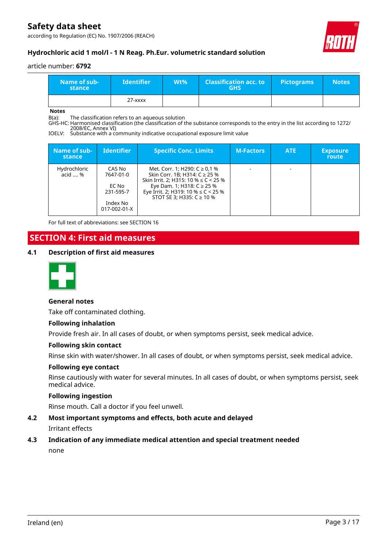according to Regulation (EC) No. 1907/2006 (REACH)



## **Hydrochloric acid 1 mol/l - 1 N Reag. Ph.Eur. volumetric standard solution**

#### article number: **6792**

| Name of sub-<br>stance | <b>M</b> dentifier | $Wt\%$ | <b>Classification acc. to</b><br><b>GHS</b> | <b>Pictograms</b> | <b>Notes</b> |
|------------------------|--------------------|--------|---------------------------------------------|-------------------|--------------|
|                        | $27  xxxx$         |        |                                             |                   |              |

**Notes**

B(a): The classification refers to an aqueous solution

GHS-HC: Harmonised classification (the classification of the substance corresponds to the entry in the list according to 1272/ 2008/EC, Annex VI)

IOELV: Substance with a community indicative occupational exposure limit value

| Name of sub-<br>stance  | <b>Identifier</b>                                                     | <b>Specific Conc. Limits</b>                                                                                                                                                                                                 | <b>M-Factors</b> | <b>ATE</b> | <b>Exposure</b><br><b>route</b> |
|-------------------------|-----------------------------------------------------------------------|------------------------------------------------------------------------------------------------------------------------------------------------------------------------------------------------------------------------------|------------------|------------|---------------------------------|
| Hydrochloric<br>acid  % | CAS No<br>7647-01-0<br>EC No<br>231-595-7<br>Index No<br>017-002-01-X | Met. Corr. 1; H290: $C \ge 0.1$ %<br>Skin Corr. 1B; H314: C ≥ 25 %<br>Skin Irrit. 2; H315: 10 % $\leq$ C < 25 %<br>Eye Dam. 1; H318: $C$ ≥ 25 %<br>Eye Irrit. 2; H319: 10 % $\leq$ C < 25 %<br>STOT SE 3; H335: $C \ge 10$ % |                  |            |                                 |

For full text of abbreviations: see SECTION 16

## **SECTION 4: First aid measures**

## **4.1 Description of first aid measures**



#### **General notes**

Take off contaminated clothing.

#### **Following inhalation**

Provide fresh air. In all cases of doubt, or when symptoms persist, seek medical advice.

#### **Following skin contact**

Rinse skin with water/shower. In all cases of doubt, or when symptoms persist, seek medical advice.

#### **Following eye contact**

Rinse cautiously with water for several minutes. In all cases of doubt, or when symptoms persist, seek medical advice.

## **Following ingestion**

Rinse mouth. Call a doctor if you feel unwell.

## **4.2 Most important symptoms and effects, both acute and delayed** Irritant effects

## **4.3 Indication of any immediate medical attention and special treatment needed**

none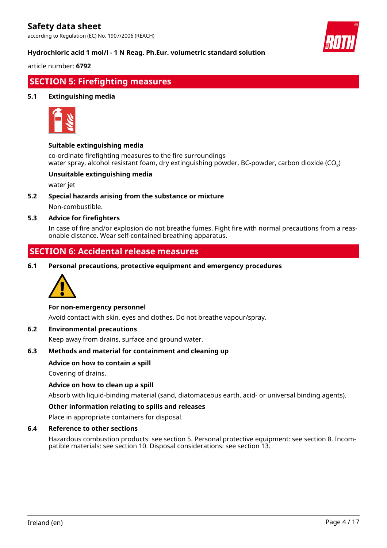according to Regulation (EC) No. 1907/2006 (REACH)



## **Hydrochloric acid 1 mol/l - 1 N Reag. Ph.Eur. volumetric standard solution**

article number: **6792**

## **SECTION 5: Firefighting measures**

## **5.1 Extinguishing media**



## **Suitable extinguishing media**

co-ordinate firefighting measures to the fire surroundings water spray, alcohol resistant foam, dry extinguishing powder, BC-powder, carbon dioxide (CO<sub>2</sub>)

## **Unsuitable extinguishing media**

water jet

**5.2 Special hazards arising from the substance or mixture**

Non-combustible.

## **5.3 Advice for firefighters**

In case of fire and/or explosion do not breathe fumes. Fight fire with normal precautions from a reasonable distance. Wear self-contained breathing apparatus.

## **SECTION 6: Accidental release measures**

**6.1 Personal precautions, protective equipment and emergency procedures**



## **For non-emergency personnel**

Avoid contact with skin, eyes and clothes. Do not breathe vapour/spray.

## **6.2 Environmental precautions**

Keep away from drains, surface and ground water.

## **6.3 Methods and material for containment and cleaning up**

## **Advice on how to contain a spill**

Covering of drains.

#### **Advice on how to clean up a spill**

Absorb with liquid-binding material (sand, diatomaceous earth, acid- or universal binding agents).

#### **Other information relating to spills and releases**

Place in appropriate containers for disposal.

#### **6.4 Reference to other sections**

Hazardous combustion products: see section 5. Personal protective equipment: see section 8. Incompatible materials: see section 10. Disposal considerations: see section 13.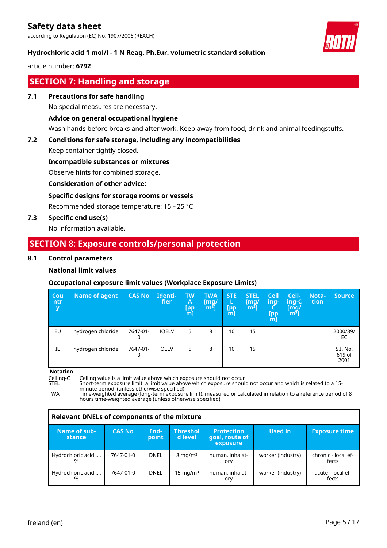according to Regulation (EC) No. 1907/2006 (REACH)



## **Hydrochloric acid 1 mol/l - 1 N Reag. Ph.Eur. volumetric standard solution**

article number: **6792**

## **SECTION 7: Handling and storage**

#### **7.1 Precautions for safe handling**

No special measures are necessary.

## **Advice on general occupational hygiene**

Wash hands before breaks and after work. Keep away from food, drink and animal feedingstuffs.

## **7.2 Conditions for safe storage, including any incompatibilities**

Keep container tightly closed.

## **Incompatible substances or mixtures**

Observe hints for combined storage.

## **Consideration of other advice:**

## **Specific designs for storage rooms or vessels**

Recommended storage temperature: 15 – 25 °C

## **7.3 Specific end use(s)**

No information available.

## **SECTION 8: Exposure controls/personal protection**

## **8.1 Control parameters**

## **National limit values**

## **Occupational exposure limit values (Workplace Exposure Limits)**

| Cou<br>ntr<br>y | <b>Name of agent</b> | <b>CAS No</b> | Identi-<br>fier | <b>TW</b><br>A<br>$\begin{bmatrix} \mathsf{pp} \\ \mathsf{m} \end{bmatrix}$ | <b>TWA</b><br>[mq/<br>$\mathsf{Im}^3$ ), | <b>STE</b><br>ь<br>[pp<br>m | <b>STEL</b><br>[mq/<br>m <sup>3</sup> | Ceil<br>ing-<br>[pp<br>m | Ceil-<br>ing-C<br>[mg/<br>$m3$ ] | Nota-<br>tion | <b>Source</b>              |
|-----------------|----------------------|---------------|-----------------|-----------------------------------------------------------------------------|------------------------------------------|-----------------------------|---------------------------------------|--------------------------|----------------------------------|---------------|----------------------------|
| EU              | hydrogen chloride    | 7647-01-      | <b>IOELV</b>    | 5                                                                           | 8                                        | 10                          | 15                                    |                          |                                  |               | 2000/39/<br>EC             |
| IE              | hydrogen chloride    | 7647-01-<br>0 | <b>OELV</b>     | 5                                                                           | 8                                        | 10                          | 15                                    |                          |                                  |               | S.I. No.<br>619 of<br>2001 |

#### **Notation**

Ceiling-C Ceiling value is a limit value above which exposure should not occur<br>STEL Short-term exposure limit: a limit value above which exposure shoul

STEL Short-term exposure limit: a limit value above which exposure should not occur and which is related to a 15 minute period (unless otherwise specified)

TWA Time-weighted average (long-term exposure limit): measured or calculated in relation to a reference period of 8 hours time-weighted average (unless otherwise specified)

| Relevant DNELs of components of the mixture |               |               |                            |                                                 |                   |                              |  |  |  |
|---------------------------------------------|---------------|---------------|----------------------------|-------------------------------------------------|-------------------|------------------------------|--|--|--|
| Name of sub-<br>stance                      | <b>CAS No</b> | End-<br>point | <b>Threshol</b><br>d level | <b>Protection</b><br>goal, route of<br>exposure | Used in           | <b>Exposure time</b>         |  |  |  |
| Hydrochloric acid<br>%                      | 7647-01-0     | <b>DNEL</b>   | $8 \text{ mg/m}^3$         | human, inhalat-<br>ory                          | worker (industry) | chronic - local ef-<br>fects |  |  |  |
| Hydrochloric acid<br>%                      | 7647-01-0     | <b>DNEL</b>   | 15 mg/m $3$                | human, inhalat-<br>ory                          | worker (industry) | acute - local ef-<br>fects   |  |  |  |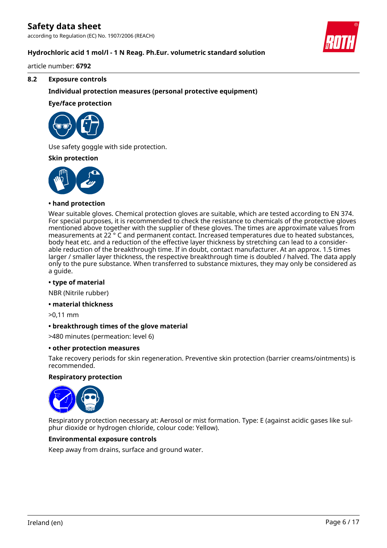according to Regulation (EC) No. 1907/2006 (REACH)

## **Hydrochloric acid 1 mol/l - 1 N Reag. Ph.Eur. volumetric standard solution**

article number: **6792**

#### **8.2 Exposure controls**

## **Individual protection measures (personal protective equipment)**

#### **Eye/face protection**



Use safety goggle with side protection.

#### **Skin protection**



### **• hand protection**

Wear suitable gloves. Chemical protection gloves are suitable, which are tested according to EN 374. For special purposes, it is recommended to check the resistance to chemicals of the protective gloves mentioned above together with the supplier of these gloves. The times are approximate values from measurements at 22 ° C and permanent contact. Increased temperatures due to heated substances, body heat etc. and a reduction of the effective layer thickness by stretching can lead to a considerable reduction of the breakthrough time. If in doubt, contact manufacturer. At an approx. 1.5 times larger / smaller layer thickness, the respective breakthrough time is doubled / halved. The data apply only to the pure substance. When transferred to substance mixtures, they may only be considered as a guide.

#### **• type of material**

NBR (Nitrile rubber)

#### **• material thickness**

>0,11 mm

## **• breakthrough times of the glove material**

>480 minutes (permeation: level 6)

#### **• other protection measures**

Take recovery periods for skin regeneration. Preventive skin protection (barrier creams/ointments) is recommended.

#### **Respiratory protection**



Respiratory protection necessary at: Aerosol or mist formation. Type: E (against acidic gases like sulphur dioxide or hydrogen chloride, colour code: Yellow).

## **Environmental exposure controls**

Keep away from drains, surface and ground water.

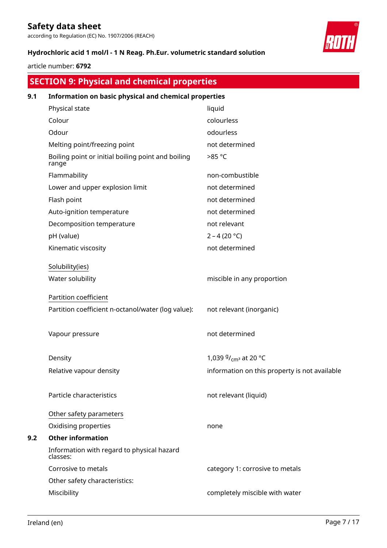according to Regulation (EC) No. 1907/2006 (REACH)

## **Hydrochloric acid 1 mol/l - 1 N Reag. Ph.Eur. volumetric standard solution**

## article number: **6792**

## **SECTION 9: Physical and chemical properties**

| 9.1 | Information on basic physical and chemical properties       |                                               |  |  |  |  |  |
|-----|-------------------------------------------------------------|-----------------------------------------------|--|--|--|--|--|
|     | Physical state                                              | liquid                                        |  |  |  |  |  |
|     | Colour                                                      | colourless                                    |  |  |  |  |  |
|     | Odour                                                       | odourless                                     |  |  |  |  |  |
|     | Melting point/freezing point                                | not determined                                |  |  |  |  |  |
|     | Boiling point or initial boiling point and boiling<br>range | >85 °C                                        |  |  |  |  |  |
|     | Flammability                                                | non-combustible                               |  |  |  |  |  |
|     | Lower and upper explosion limit                             | not determined                                |  |  |  |  |  |
|     | Flash point                                                 | not determined                                |  |  |  |  |  |
|     | Auto-ignition temperature                                   | not determined                                |  |  |  |  |  |
|     | Decomposition temperature                                   | not relevant                                  |  |  |  |  |  |
|     | pH (value)                                                  | $2 - 4 (20 °C)$                               |  |  |  |  |  |
|     | Kinematic viscosity                                         | not determined                                |  |  |  |  |  |
|     | Solubility(ies)                                             |                                               |  |  |  |  |  |
|     | Water solubility                                            | miscible in any proportion                    |  |  |  |  |  |
|     | Partition coefficient                                       |                                               |  |  |  |  |  |
|     | Partition coefficient n-octanol/water (log value):          | not relevant (inorganic)                      |  |  |  |  |  |
|     | Vapour pressure                                             | not determined                                |  |  |  |  |  |
|     | Density                                                     | 1,039 $9/_{\text{cm}^3}$ at 20 °C             |  |  |  |  |  |
|     | Relative vapour density                                     | information on this property is not available |  |  |  |  |  |
|     | Particle characteristics                                    | not relevant (liquid)                         |  |  |  |  |  |
|     | Other safety parameters                                     |                                               |  |  |  |  |  |
|     | Oxidising properties                                        | none                                          |  |  |  |  |  |
| 9.2 | <b>Other information</b>                                    |                                               |  |  |  |  |  |
|     | Information with regard to physical hazard<br>classes:      |                                               |  |  |  |  |  |
|     | Corrosive to metals                                         | category 1: corrosive to metals               |  |  |  |  |  |
|     | Other safety characteristics:                               |                                               |  |  |  |  |  |
|     | Miscibility                                                 | completely miscible with water                |  |  |  |  |  |

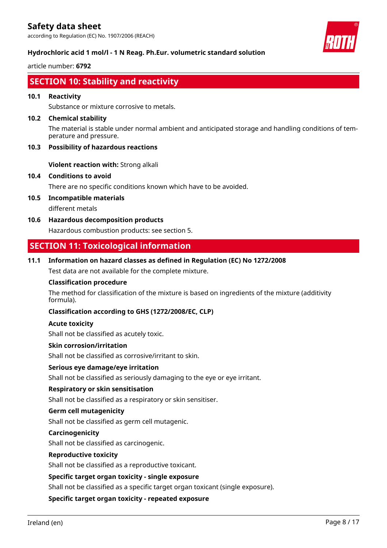according to Regulation (EC) No. 1907/2006 (REACH)



## **Hydrochloric acid 1 mol/l - 1 N Reag. Ph.Eur. volumetric standard solution**

article number: **6792**

## **SECTION 10: Stability and reactivity**

## **10.1 Reactivity**

Substance or mixture corrosive to metals.

#### **10.2 Chemical stability**

The material is stable under normal ambient and anticipated storage and handling conditions of temperature and pressure.

## **10.3 Possibility of hazardous reactions**

**Violent reaction with:** Strong alkali

## **10.4 Conditions to avoid**

There are no specific conditions known which have to be avoided.

- **10.5 Incompatible materials** different metals
- **10.6 Hazardous decomposition products** Hazardous combustion products: see section 5.

## **SECTION 11: Toxicological information**

## **11.1 Information on hazard classes as defined in Regulation (EC) No 1272/2008**

Test data are not available for the complete mixture.

### **Classification procedure**

The method for classification of the mixture is based on ingredients of the mixture (additivity formula).

## **Classification according to GHS (1272/2008/EC, CLP)**

#### **Acute toxicity**

Shall not be classified as acutely toxic.

#### **Skin corrosion/irritation**

Shall not be classified as corrosive/irritant to skin.

#### **Serious eye damage/eye irritation**

Shall not be classified as seriously damaging to the eye or eye irritant.

#### **Respiratory or skin sensitisation**

Shall not be classified as a respiratory or skin sensitiser.

## **Germ cell mutagenicity**

Shall not be classified as germ cell mutagenic.

#### **Carcinogenicity**

Shall not be classified as carcinogenic.

#### **Reproductive toxicity**

Shall not be classified as a reproductive toxicant.

## **Specific target organ toxicity - single exposure**

Shall not be classified as a specific target organ toxicant (single exposure).

#### **Specific target organ toxicity - repeated exposure**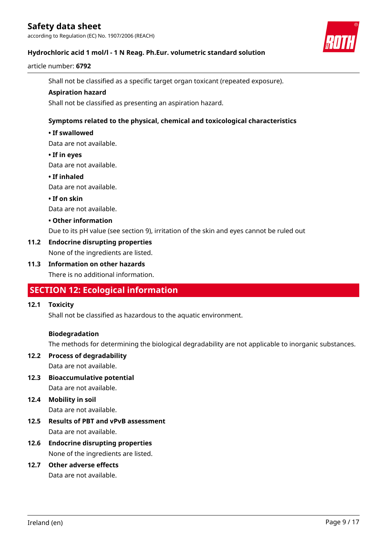according to Regulation (EC) No. 1907/2006 (REACH)



#### article number: **6792**

Shall not be classified as a specific target organ toxicant (repeated exposure).

#### **Aspiration hazard**

Shall not be classified as presenting an aspiration hazard.

## **Symptoms related to the physical, chemical and toxicological characteristics**

#### **• If swallowed**

Data are not available.

#### **• If in eyes**

Data are not available.

#### **• If inhaled**

Data are not available.

#### **• If on skin**

Data are not available.

#### **• Other information**

Due to its pH value (see section 9), irritation of the skin and eyes cannot be ruled out

## **11.2 Endocrine disrupting properties**

None of the ingredients are listed.

## **11.3 Information on other hazards**

There is no additional information.

## **SECTION 12: Ecological information**

## **12.1 Toxicity**

Shall not be classified as hazardous to the aquatic environment.

## **Biodegradation**

The methods for determining the biological degradability are not applicable to inorganic substances.

## **12.2 Process of degradability** Data are not available.

**12.3 Bioaccumulative potential** Data are not available.

## **12.4 Mobility in soil**

Data are not available.

- **12.5 Results of PBT and vPvB assessment** Data are not available.
- **12.6 Endocrine disrupting properties** None of the ingredients are listed.

## **12.7 Other adverse effects**

Data are not available.

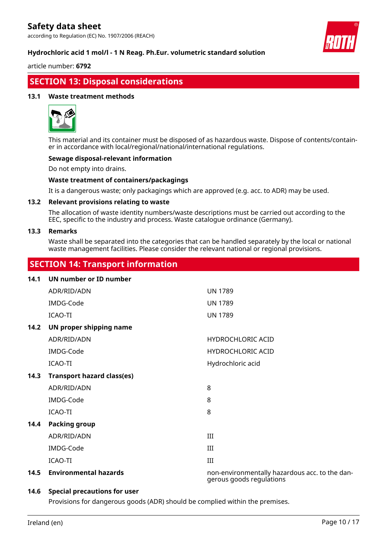according to Regulation (EC) No. 1907/2006 (REACH)



article number: **6792**

## **SECTION 13: Disposal considerations**

## **13.1 Waste treatment methods**



This material and its container must be disposed of as hazardous waste. Dispose of contents/container in accordance with local/regional/national/international regulations.

## **Sewage disposal-relevant information**

Do not empty into drains.

## **Waste treatment of containers/packagings**

It is a dangerous waste; only packagings which are approved (e.g. acc. to ADR) may be used.

#### **13.2 Relevant provisions relating to waste**

The allocation of waste identity numbers/waste descriptions must be carried out according to the EEC, specific to the industry and process. Waste catalogue ordinance (Germany).

#### **13.3 Remarks**

Waste shall be separated into the categories that can be handled separately by the local or national waste management facilities. Please consider the relevant national or regional provisions.

## **SECTION 14: Transport information**

| 14.1 | UN number or ID number            |                                                                            |
|------|-----------------------------------|----------------------------------------------------------------------------|
|      | ADR/RID/ADN                       | <b>UN 1789</b>                                                             |
|      | IMDG-Code                         | <b>UN 1789</b>                                                             |
|      | ICAO-TI                           | <b>UN 1789</b>                                                             |
| 14.2 | UN proper shipping name           |                                                                            |
|      | ADR/RID/ADN                       | <b>HYDROCHLORIC ACID</b>                                                   |
|      | IMDG-Code                         | <b>HYDROCHLORIC ACID</b>                                                   |
|      | <b>ICAO-TI</b>                    | Hydrochloric acid                                                          |
| 14.3 | <b>Transport hazard class(es)</b> |                                                                            |
|      | ADR/RID/ADN                       | 8                                                                          |
|      | IMDG-Code                         | 8                                                                          |
|      | ICAO-TI                           | 8                                                                          |
| 14.4 | <b>Packing group</b>              |                                                                            |
|      | ADR/RID/ADN                       | III                                                                        |
|      | IMDG-Code                         | III                                                                        |
|      | <b>ICAO-TI</b>                    | III                                                                        |
| 14.5 | <b>Environmental hazards</b>      | non-environmentally hazardous acc. to the dan-<br>gerous goods regulations |

## **14.6 Special precautions for user**

Provisions for dangerous goods (ADR) should be complied within the premises.

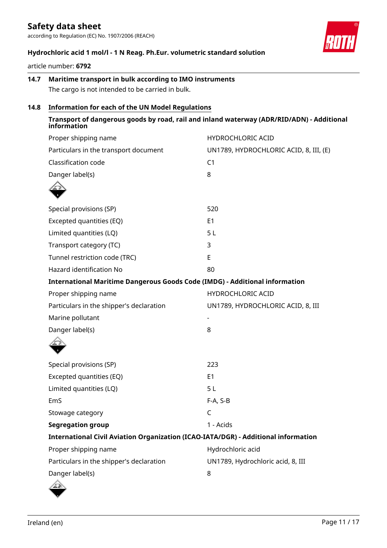according to Regulation (EC) No. 1907/2006 (REACH)



## **Hydrochloric acid 1 mol/l - 1 N Reag. Ph.Eur. volumetric standard solution**

article number: **6792**

## **14.7 Maritime transport in bulk according to IMO instruments** The cargo is not intended to be carried in bulk.

## **14.8 Information for each of the UN Model Regulations**

| information                                                                        | Transport of dangerous goods by road, rail and inland waterway (ADR/RID/ADN) - Additional |
|------------------------------------------------------------------------------------|-------------------------------------------------------------------------------------------|
| Proper shipping name                                                               | <b>HYDROCHLORIC ACID</b>                                                                  |
| Particulars in the transport document                                              | UN1789, HYDROCHLORIC ACID, 8, III, (E)                                                    |
| Classification code                                                                | C <sub>1</sub>                                                                            |
| Danger label(s)                                                                    | 8                                                                                         |
|                                                                                    |                                                                                           |
| Special provisions (SP)                                                            | 520                                                                                       |
| Excepted quantities (EQ)                                                           | E <sub>1</sub>                                                                            |
| Limited quantities (LQ)                                                            | 5L                                                                                        |
| Transport category (TC)                                                            | 3                                                                                         |
| Tunnel restriction code (TRC)                                                      | E                                                                                         |
| Hazard identification No                                                           | 80                                                                                        |
| <b>International Maritime Dangerous Goods Code (IMDG) - Additional information</b> |                                                                                           |
| Proper shipping name                                                               | HYDROCHLORIC ACID                                                                         |
| Particulars in the shipper's declaration                                           | UN1789, HYDROCHLORIC ACID, 8, III                                                         |
| Marine pollutant                                                                   |                                                                                           |
| Danger label(s)                                                                    | 8                                                                                         |
|                                                                                    |                                                                                           |
| Special provisions (SP)                                                            | 223                                                                                       |
| Excepted quantities (EQ)                                                           | E <sub>1</sub>                                                                            |
| Limited quantities (LQ)                                                            | 5L                                                                                        |
| EmS                                                                                | $F-A, S-B$                                                                                |
| Stowage category                                                                   | C                                                                                         |
| <b>Segregation group</b>                                                           | 1 - Acids                                                                                 |
| International Civil Aviation Organization (ICAO-IATA/DGR) - Additional information |                                                                                           |
| Proper shipping name                                                               | Hydrochloric acid                                                                         |
| Particulars in the shipper's declaration                                           | UN1789, Hydrochloric acid, 8, III                                                         |
| Danger label(s)                                                                    | 8                                                                                         |
|                                                                                    |                                                                                           |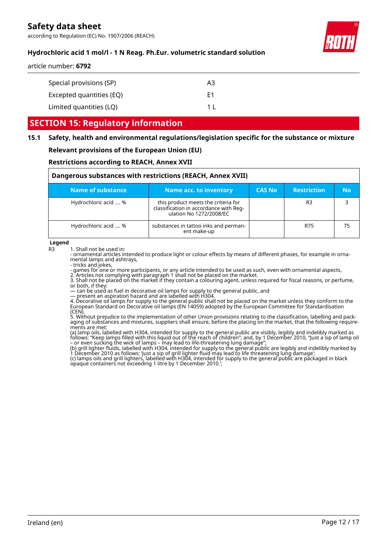according to Regulation (EC) No. 1907/2006 (REACH)



## **Hydrochloric acid 1 mol/l - 1 N Reag. Ph.Eur. volumetric standard solution**

#### article number: **6792**

| Special provisions (SP)  | A3  |
|--------------------------|-----|
| Excepted quantities (EQ) | F1  |
| Limited quantities (LQ)  | 1 I |

## **SECTION 15: Regulatory information**

# **15.1 Safety, health and environmental regulations/legislation specific for the substance or mixture**

## **Relevant provisions of the European Union (EU)**

#### **Restrictions according to REACH, Annex XVII**

| Dangerous substances with restrictions (REACH, Annex XVII) |                                                                                                          |               |                    |    |
|------------------------------------------------------------|----------------------------------------------------------------------------------------------------------|---------------|--------------------|----|
| Name of substance                                          | Name acc. to inventory                                                                                   | <b>CAS No</b> | <b>Restriction</b> | No |
| Hydrochloric acid  %                                       | this product meets the criteria for<br>classification in accordance with Reg-<br>ulation No 1272/2008/EC |               | R3                 |    |
| Hydrochloric acid  %                                       | substances in tattoo inks and perman-<br>ent make-up                                                     |               | R75                | 75 |

**Legend**

R3 1. Shall not be used in:

- ornamental articles intended to produce light or colour effects by means of different phases, for example in ornamental lamps and ashtrays,

- tricks and jokes,

- games for one or more participants, or any article intended to be used as such, even with ornamental aspects,

2. Articles not complying with paragraph 1 shall not be placed on the market.

3. Shall not be placed on the market if they contain a colouring agent, unless required for fiscal reasons, or perfume, or both, if they:

— can be used as fuel in decorative oil lamps for supply to the general public, and

— present an aspiration hazard and are labelled with H304.

4. Decorative oil lamps for supply to the general public shall not be placed on the market unless they conform to the European Standard on Decorative oil lamps (EN 14059) adopted by the European Committee for Standardisation (CEN).

5. Without prejudice to the implementation of other Union provisions relating to the classification, labelling and packaging of substances and mixtures, suppliers shall ensure, before the placing on the market, that the following requirements are met:

(a) lamp oils, labelled with H304, intended for supply to the general public are visibly, legibly and indelibly marked as follows: "Keep lamps filled with this liquid out of the reach of children"; and, by 1 December 2010, "Just a sip of lamp oil – or even sucking the wick of lamps – may lead to life-threatening lung damage";

(b) grill lighter fluids, labelled with H304, intended for supply to the general public are legibly and indelibly marked by 1 December 2010 as follows: 'Just a sip of grill lighter fluid may lead to life threatening lung damage'; (c) lamps oils and grill lighters, labelled with H304, intended for supply to the general public are packaged in black opaque containers not exceeding 1 litre by 1 December 2010.';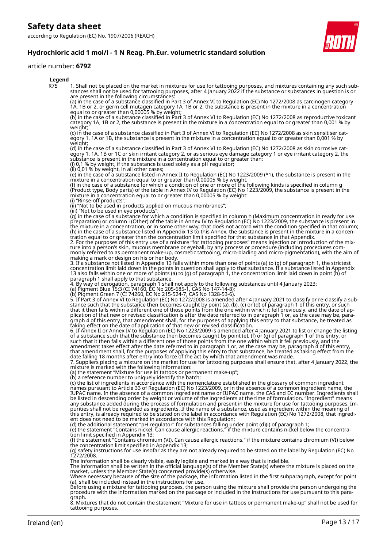according to Regulation (EC) No. 1907/2006 (REACH)



#### article number: **6792**



8. Mixtures that do not contain the statement "Mixture for use in tattoos or permanent make-up" shall not be used for tattooing purposes.

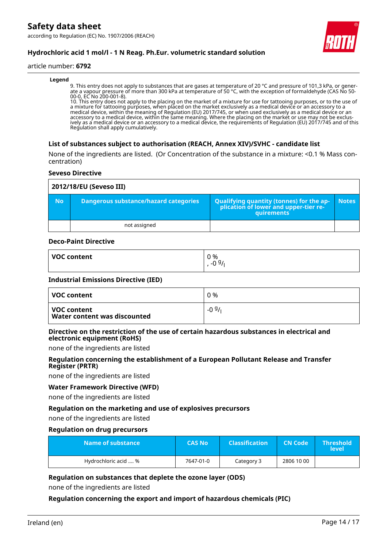according to Regulation (EC) No. 1907/2006 (REACH)



## **Hydrochloric acid 1 mol/l - 1 N Reag. Ph.Eur. volumetric standard solution**

#### article number: **6792**

#### **Legend**

9. This entry does not apply to substances that are gases at temperature of 20 °C and pressure of 101,3 kPa, or generate a vapour pressure of more than 300 kPa at temperature of 50 °C, with the exception of formaldehyde (CAS No 50- 00-0, EC No 200-001-8).

10. This entry does not apply to the placing on the market of a mixture for use for tattooing purposes, or to the use of a mixture for tattooing purposes, when placed on the market exclusively as a medical device or an accessory to a medical device, within the meaning of Regulation (EU) 2017/745, or when used exclusively as a medical device or an accessory to a medical device, within the same meaning. Where the placing on the market or use may not be exclusively as a medical device or an accessory to a medical device, the requirements of Regulation (EU) 2017/745 and of this Regulation shall apply cumulatively.

## **List of substances subject to authorisation (REACH, Annex XIV)/SVHC - candidate list**

None of the ingredients are listed. (Or Concentration of the substance in a mixture: <0.1 % Mass concentration)

#### **Seveso Directive**

|           | 2012/18/EU (Seveso III)                      |                                                                                            |              |  |  |
|-----------|----------------------------------------------|--------------------------------------------------------------------------------------------|--------------|--|--|
| <b>No</b> | <b>Dangerous substance/hazard categories</b> | Qualifying quantity (tonnes) for the application of lower and upper-tier re-<br>quirements | <b>Notes</b> |  |  |
|           | not assigned                                 |                                                                                            |              |  |  |

#### **Deco-Paint Directive**

| <b>VOC content</b> | 0 %<br>g,<br>$\sim$ |
|--------------------|---------------------|
|                    | -6                  |

#### **Industrial Emissions Directive (IED)**

| VOC content                                 | 0 %     |
|---------------------------------------------|---------|
| VOC content<br>Water content was discounted | $-0.9/$ |

#### **Directive on the restriction of the use of certain hazardous substances in electrical and electronic equipment (RoHS)**

none of the ingredients are listed

## **Regulation concerning the establishment of a European Pollutant Release and Transfer Register (PRTR)**

none of the ingredients are listed

## **Water Framework Directive (WFD)**

none of the ingredients are listed

## **Regulation on the marketing and use of explosives precursors**

none of the ingredients are listed

#### **Regulation on drug precursors**

| Name of substance    | <b>CAS No</b> | <b>Classification</b> | <b>CN Code</b> | <b>Threshold</b><br>level |
|----------------------|---------------|-----------------------|----------------|---------------------------|
| Hydrochloric acid  % | 7647-01-0     | Category 3            | 2806 10 00     |                           |

## **Regulation on substances that deplete the ozone layer (ODS)**

none of the ingredients are listed

## **Regulation concerning the export and import of hazardous chemicals (PIC)**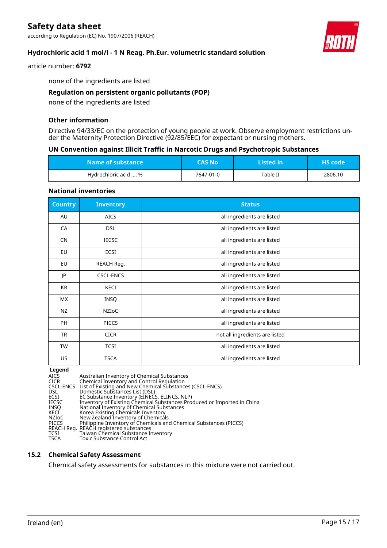according to Regulation (EC) No. 1907/2006 (REACH)



## **Hydrochloric acid 1 mol/l - 1 N Reag. Ph.Eur. volumetric standard solution**

article number: **6792**

none of the ingredients are listed

## **Regulation on persistent organic pollutants (POP)**

none of the ingredients are listed

## **Other information**

Directive 94/33/EC on the protection of young people at work. Observe employment restrictions under the Maternity Protection Directive (92/85/EEC) for expectant or nursing mothers.

#### **UN Convention against Illicit Traffic in Narcotic Drugs and Psychotropic Substances**

| Name of substance    | CAS No'   | Listed in | <b>HS</b> code |
|----------------------|-----------|-----------|----------------|
| Hydrochloric acid  % | 7647-01-0 | Table II  | 2806.10        |

#### **National inventories**

| <b>Country</b> | <b>Inventory</b> | <b>Status</b>                  |
|----------------|------------------|--------------------------------|
| AU             | <b>AICS</b>      | all ingredients are listed     |
| CA             | <b>DSL</b>       | all ingredients are listed     |
| <b>CN</b>      | <b>IECSC</b>     | all ingredients are listed     |
| EU             | ECSI             | all ingredients are listed     |
| EU             | REACH Reg.       | all ingredients are listed     |
| JP             | <b>CSCL-ENCS</b> | all ingredients are listed     |
| KR             | KECI             | all ingredients are listed     |
| <b>MX</b>      | <b>INSQ</b>      | all ingredients are listed     |
| NZ             | NZIoC            | all ingredients are listed     |
| <b>PH</b>      | <b>PICCS</b>     | all ingredients are listed     |
| TR             | <b>CICR</b>      | not all ingredients are listed |
| <b>TW</b>      | <b>TCSI</b>      | all ingredients are listed     |
| US             | <b>TSCA</b>      | all ingredients are listed     |

**Legend**<br>AICS<br>CICR AICS Australian Inventory of Chemical Substances CICR Chemical Inventory and Control Regulation CSCL-ENCS List of Existing and New Chemical Substances (CSCL-ENCS) DSL Domestic Substances List (DSL) ECSI EC Substance Inventory (EINECS, ELINCS, NLP) IECSC Inventory of Existing Chemical Substances Produced or Imported in China INSQ National Inventory of Chemical Substances KECI Korea Existing Chemicals Inventory NZIoC New Zealand Inventory of Chemicals PICCS Philippine Inventory of Chemicals and Chemical Substances (PICCS) REACH Reg. REACH registered substances TCSI Taiwan Chemical Substance Inventory PICCS Philippine Inventory of Cher<br>REACH Reg. REACH registered substance<br>TCSI Taiwan Chemical Substance<br>TSCA Toxic Substance Control Act

## **15.2 Chemical Safety Assessment**

Chemical safety assessments for substances in this mixture were not carried out.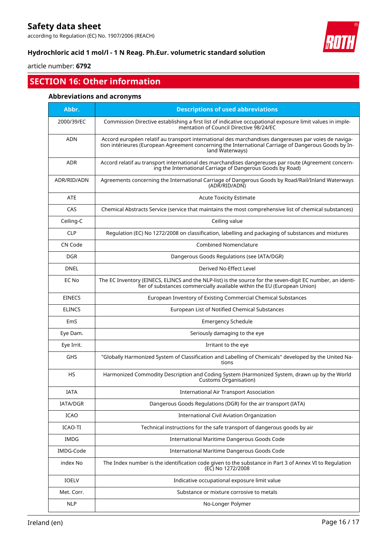according to Regulation (EC) No. 1907/2006 (REACH)



## **Hydrochloric acid 1 mol/l - 1 N Reag. Ph.Eur. volumetric standard solution**

article number: **6792**

## **SECTION 16: Other information**

## **Abbreviations and acronyms**

| Abbr.         | <b>Descriptions of used abbreviations</b>                                                                                                                                                                                       |
|---------------|---------------------------------------------------------------------------------------------------------------------------------------------------------------------------------------------------------------------------------|
| 2000/39/EC    | Commission Directive establishing a first list of indicative occupational exposure limit values in imple-<br>mentation of Council Directive 98/24/EC                                                                            |
| <b>ADN</b>    | Accord européen relatif au transport international des marchandises dangereuses par voies de naviga-<br>tion intérieures (European Agreement concerning the International Carriage of Dangerous Goods by In-<br>land Waterways) |
| <b>ADR</b>    | Accord relatif au transport international des marchandises dangereuses par route (Agreement concern-<br>ing the International Carriage of Dangerous Goods by Road)                                                              |
| ADR/RID/ADN   | Agreements concerning the International Carriage of Dangerous Goods by Road/Rail/Inland Waterways<br>(ADR/RID/ADN)                                                                                                              |
| <b>ATE</b>    | <b>Acute Toxicity Estimate</b>                                                                                                                                                                                                  |
| CAS           | Chemical Abstracts Service (service that maintains the most comprehensive list of chemical substances)                                                                                                                          |
| Ceiling-C     | Ceiling value                                                                                                                                                                                                                   |
| <b>CLP</b>    | Regulation (EC) No 1272/2008 on classification, labelling and packaging of substances and mixtures                                                                                                                              |
| CN Code       | <b>Combined Nomenclature</b>                                                                                                                                                                                                    |
| <b>DGR</b>    | Dangerous Goods Regulations (see IATA/DGR)                                                                                                                                                                                      |
| <b>DNEL</b>   | Derived No-Effect Level                                                                                                                                                                                                         |
| EC No         | The EC Inventory (EINECS, ELINCS and the NLP-list) is the source for the seven-digit EC number, an identi-<br>fier of substances commercially available within the EU (European Union)                                          |
| <b>EINECS</b> | European Inventory of Existing Commercial Chemical Substances                                                                                                                                                                   |
| <b>ELINCS</b> | European List of Notified Chemical Substances                                                                                                                                                                                   |
| EmS           | <b>Emergency Schedule</b>                                                                                                                                                                                                       |
| Eye Dam.      | Seriously damaging to the eye                                                                                                                                                                                                   |
| Eye Irrit.    | Irritant to the eye                                                                                                                                                                                                             |
| GHS           | "Globally Harmonized System of Classification and Labelling of Chemicals" developed by the United Na-<br>tions                                                                                                                  |
| <b>HS</b>     | Harmonized Commodity Description and Coding System (Harmonized System, drawn up by the World<br><b>Customs Organisation)</b>                                                                                                    |
| IATA          | <b>International Air Transport Association</b>                                                                                                                                                                                  |
| IATA/DGR      | Dangerous Goods Regulations (DGR) for the air transport (IATA)                                                                                                                                                                  |
| ICAO          | International Civil Aviation Organization                                                                                                                                                                                       |
| ICAO-TI       | Technical instructions for the safe transport of dangerous goods by air                                                                                                                                                         |
| <b>IMDG</b>   | International Maritime Dangerous Goods Code                                                                                                                                                                                     |
| IMDG-Code     | International Maritime Dangerous Goods Code                                                                                                                                                                                     |
| index No      | The Index number is the identification code given to the substance in Part 3 of Annex VI to Regulation<br>(EC) No 1272/2008                                                                                                     |
| <b>IOELV</b>  | Indicative occupational exposure limit value                                                                                                                                                                                    |
| Met. Corr.    | Substance or mixture corrosive to metals                                                                                                                                                                                        |
| <b>NLP</b>    | No-Longer Polymer                                                                                                                                                                                                               |